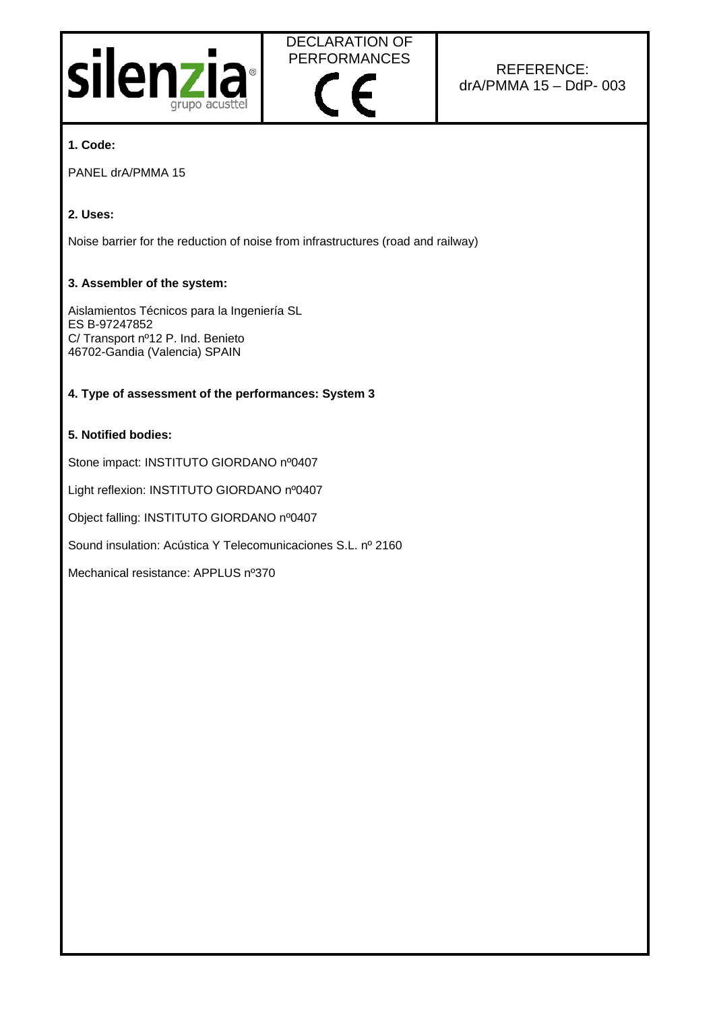



# REFERENCE: drA/PMMA 15 – DdP- 003

## **1. Code:**

PANEL drA/PMMA 15

## **2. Uses:**

Noise barrier for the reduction of noise from infrastructures (road and railway)

#### **3. Assembler of the system:**

Aislamientos Técnicos para la Ingeniería SL ES B-97247852 C/ Transport nº12 P. Ind. Benieto 46702-Gandia (Valencia) SPAIN

## **4. Type of assessment of the performances: System 3**

## **5. Notified bodies:**

Stone impact: INSTITUTO GIORDANO nº0407

Light reflexion: INSTITUTO GIORDANO nº0407

Object falling: INSTITUTO GIORDANO nº0407

Sound insulation: Acústica Y Telecomunicaciones S.L. nº 2160

Mechanical resistance: APPLUS nº370